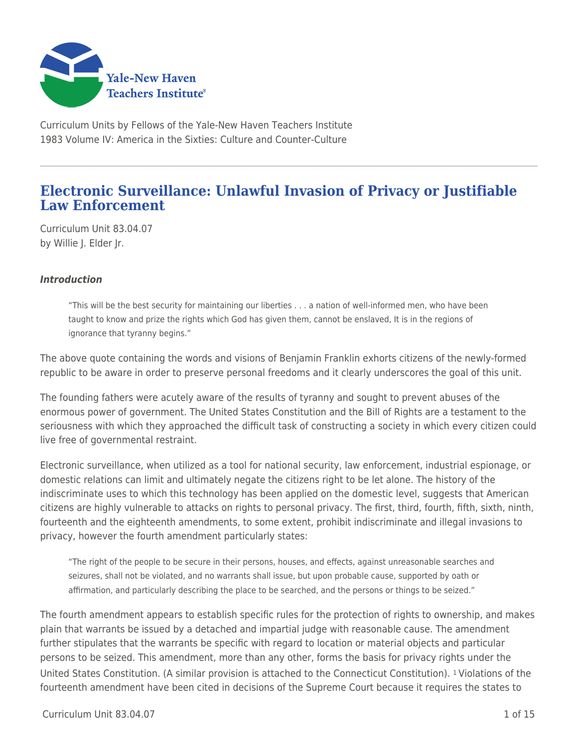

Curriculum Units by Fellows of the Yale-New Haven Teachers Institute 1983 Volume IV: America in the Sixties: Culture and Counter-Culture

# **Electronic Surveillance: Unlawful Invasion of Privacy or Justifiable Law Enforcement**

Curriculum Unit 83.04.07 by Willie J. Elder Jr.

## *Introduction*

"This will be the best security for maintaining our liberties . . . a nation of well-informed men, who have been taught to know and prize the rights which God has given them, cannot be enslaved, It is in the regions of ignorance that tyranny begins."

The above quote containing the words and visions of Benjamin Franklin exhorts citizens of the newly-formed republic to be aware in order to preserve personal freedoms and it clearly underscores the goal of this unit.

The founding fathers were acutely aware of the results of tyranny and sought to prevent abuses of the enormous power of government. The United States Constitution and the Bill of Rights are a testament to the seriousness with which they approached the difficult task of constructing a society in which every citizen could live free of governmental restraint.

Electronic surveillance, when utilized as a tool for national security, law enforcement, industrial espionage, or domestic relations can limit and ultimately negate the citizens right to be let alone. The history of the indiscriminate uses to which this technology has been applied on the domestic level, suggests that American citizens are highly vulnerable to attacks on rights to personal privacy. The first, third, fourth, fifth, sixth, ninth, fourteenth and the eighteenth amendments, to some extent, prohibit indiscriminate and illegal invasions to privacy, however the fourth amendment particularly states:

"The right of the people to be secure in their persons, houses, and effects, against unreasonable searches and seizures, shall not be violated, and no warrants shall issue, but upon probable cause, supported by oath or affirmation, and particularly describing the place to be searched, and the persons or things to be seized."

The fourth amendment appears to establish specific rules for the protection of rights to ownership, and makes plain that warrants be issued by a detached and impartial judge with reasonable cause. The amendment further stipulates that the warrants be specific with regard to location or material objects and particular persons to be seized. This amendment, more than any other, forms the basis for privacy rights under the United States Constitution. (A similar provision is attached to the Connecticut Constitution). 1 Violations of the fourteenth amendment have been cited in decisions of the Supreme Court because it requires the states to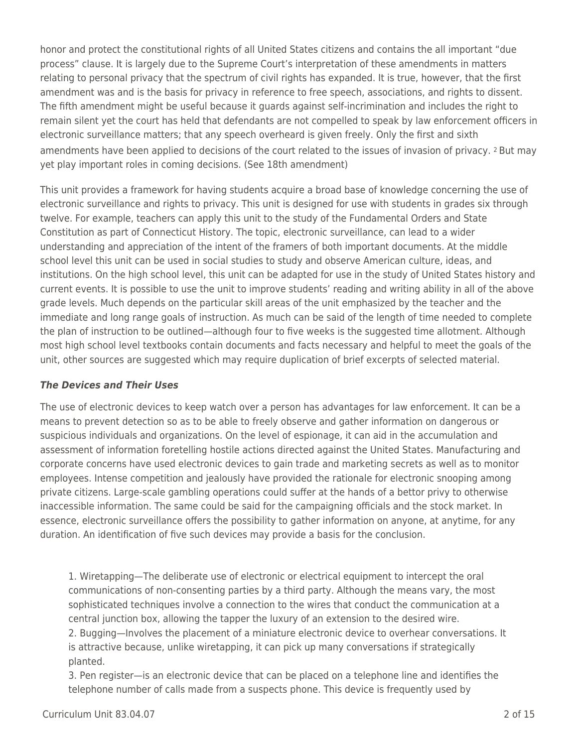honor and protect the constitutional rights of all United States citizens and contains the all important "due process" clause. It is largely due to the Supreme Court's interpretation of these amendments in matters relating to personal privacy that the spectrum of civil rights has expanded. It is true, however, that the first amendment was and is the basis for privacy in reference to free speech, associations, and rights to dissent. The fifth amendment might be useful because it guards against self-incrimination and includes the right to remain silent yet the court has held that defendants are not compelled to speak by law enforcement officers in electronic surveillance matters; that any speech overheard is given freely. Only the first and sixth amendments have been applied to decisions of the court related to the issues of invasion of privacy. 2 But may yet play important roles in coming decisions. (See 18th amendment)

This unit provides a framework for having students acquire a broad base of knowledge concerning the use of electronic surveillance and rights to privacy. This unit is designed for use with students in grades six through twelve. For example, teachers can apply this unit to the study of the Fundamental Orders and State Constitution as part of Connecticut History. The topic, electronic surveillance, can lead to a wider understanding and appreciation of the intent of the framers of both important documents. At the middle school level this unit can be used in social studies to study and observe American culture, ideas, and institutions. On the high school level, this unit can be adapted for use in the study of United States history and current events. It is possible to use the unit to improve students' reading and writing ability in all of the above grade levels. Much depends on the particular skill areas of the unit emphasized by the teacher and the immediate and long range goals of instruction. As much can be said of the length of time needed to complete the plan of instruction to be outlined—although four to five weeks is the suggested time allotment. Although most high school level textbooks contain documents and facts necessary and helpful to meet the goals of the unit, other sources are suggested which may require duplication of brief excerpts of selected material.

## *The Devices and Their Uses*

The use of electronic devices to keep watch over a person has advantages for law enforcement. It can be a means to prevent detection so as to be able to freely observe and gather information on dangerous or suspicious individuals and organizations. On the level of espionage, it can aid in the accumulation and assessment of information foretelling hostile actions directed against the United States. Manufacturing and corporate concerns have used electronic devices to gain trade and marketing secrets as well as to monitor employees. Intense competition and jealously have provided the rationale for electronic snooping among private citizens. Large-scale gambling operations could suffer at the hands of a bettor privy to otherwise inaccessible information. The same could be said for the campaigning officials and the stock market. In essence, electronic surveillance offers the possibility to gather information on anyone, at anytime, for any duration. An identification of five such devices may provide a basis for the conclusion.

1. Wiretapping—The deliberate use of electronic or electrical equipment to intercept the oral communications of non-consenting parties by a third party. Although the means vary, the most sophisticated techniques involve a connection to the wires that conduct the communication at a central junction box, allowing the tapper the luxury of an extension to the desired wire. 2. Bugging—Involves the placement of a miniature electronic device to overhear conversations. It is attractive because, unlike wiretapping, it can pick up many conversations if strategically planted.

3. Pen register—is an electronic device that can be placed on a telephone line and identifies the telephone number of calls made from a suspects phone. This device is frequently used by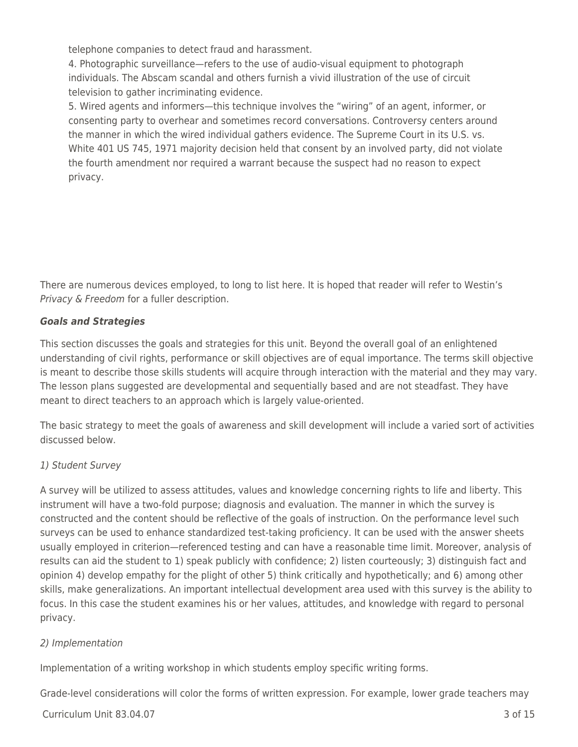telephone companies to detect fraud and harassment.

4. Photographic surveillance—refers to the use of audio-visual equipment to photograph individuals. The Abscam scandal and others furnish a vivid illustration of the use of circuit television to gather incriminating evidence.

5. Wired agents and informers—this technique involves the "wiring" of an agent, informer, or consenting party to overhear and sometimes record conversations. Controversy centers around the manner in which the wired individual gathers evidence. The Supreme Court in its U.S. vs. White 401 US 745, 1971 majority decision held that consent by an involved party, did not violate the fourth amendment nor required a warrant because the suspect had no reason to expect privacy.

There are numerous devices employed, to long to list here. It is hoped that reader will refer to Westin's Privacy & Freedom for a fuller description.

## *Goals and Strategies*

This section discusses the goals and strategies for this unit. Beyond the overall goal of an enlightened understanding of civil rights, performance or skill objectives are of equal importance. The terms skill objective is meant to describe those skills students will acquire through interaction with the material and they may vary. The lesson plans suggested are developmental and sequentially based and are not steadfast. They have meant to direct teachers to an approach which is largely value-oriented.

The basic strategy to meet the goals of awareness and skill development will include a varied sort of activities discussed below.

## 1) Student Survey

A survey will be utilized to assess attitudes, values and knowledge concerning rights to life and liberty. This instrument will have a two-fold purpose; diagnosis and evaluation. The manner in which the survey is constructed and the content should be reflective of the goals of instruction. On the performance level such surveys can be used to enhance standardized test-taking proficiency. It can be used with the answer sheets usually employed in criterion—referenced testing and can have a reasonable time limit. Moreover, analysis of results can aid the student to 1) speak publicly with confidence; 2) listen courteously; 3) distinguish fact and opinion 4) develop empathy for the plight of other 5) think critically and hypothetically; and 6) among other skills, make generalizations. An important intellectual development area used with this survey is the ability to focus. In this case the student examines his or her values, attitudes, and knowledge with regard to personal privacy.

## 2) Implementation

Implementation of a writing workshop in which students employ specific writing forms.

Grade-level considerations will color the forms of written expression. For example, lower grade teachers may

 $C$ urriculum Unit 83.04.07  $\qquad$  3 of 15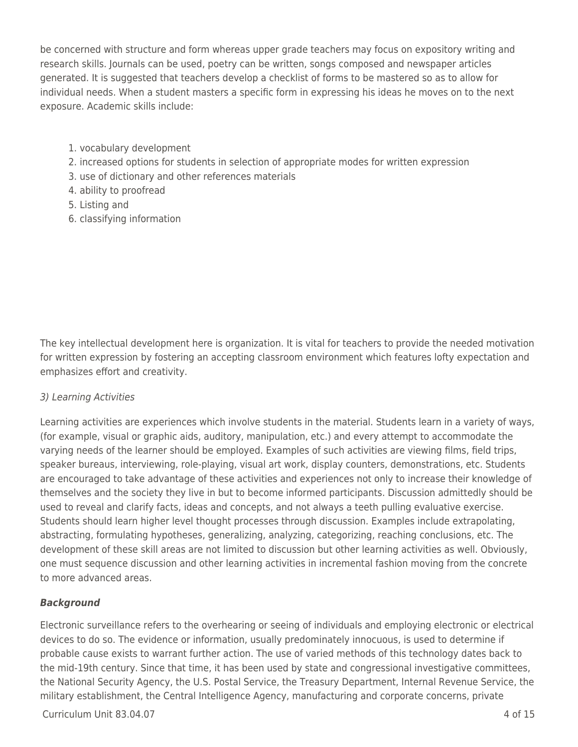be concerned with structure and form whereas upper grade teachers may focus on expository writing and research skills. Journals can be used, poetry can be written, songs composed and newspaper articles generated. It is suggested that teachers develop a checklist of forms to be mastered so as to allow for individual needs. When a student masters a specific form in expressing his ideas he moves on to the next exposure. Academic skills include:

- 1. vocabulary development
- 2. increased options for students in selection of appropriate modes for written expression
- 3. use of dictionary and other references materials
- 4. ability to proofread
- 5. Listing and
- 6. classifying information

The key intellectual development here is organization. It is vital for teachers to provide the needed motivation for written expression by fostering an accepting classroom environment which features lofty expectation and emphasizes effort and creativity.

## 3) Learning Activities

Learning activities are experiences which involve students in the material. Students learn in a variety of ways, (for example, visual or graphic aids, auditory, manipulation, etc.) and every attempt to accommodate the varying needs of the learner should be employed. Examples of such activities are viewing films, field trips, speaker bureaus, interviewing, role-playing, visual art work, display counters, demonstrations, etc. Students are encouraged to take advantage of these activities and experiences not only to increase their knowledge of themselves and the society they live in but to become informed participants. Discussion admittedly should be used to reveal and clarify facts, ideas and concepts, and not always a teeth pulling evaluative exercise. Students should learn higher level thought processes through discussion. Examples include extrapolating, abstracting, formulating hypotheses, generalizing, analyzing, categorizing, reaching conclusions, etc. The development of these skill areas are not limited to discussion but other learning activities as well. Obviously, one must sequence discussion and other learning activities in incremental fashion moving from the concrete to more advanced areas.

## *Background*

Electronic surveillance refers to the overhearing or seeing of individuals and employing electronic or electrical devices to do so. The evidence or information, usually predominately innocuous, is used to determine if probable cause exists to warrant further action. The use of varied methods of this technology dates back to the mid-19th century. Since that time, it has been used by state and congressional investigative committees, the National Security Agency, the U.S. Postal Service, the Treasury Department, Internal Revenue Service, the military establishment, the Central Intelligence Agency, manufacturing and corporate concerns, private

 $Curir$  Unit 83.04.07 4 of 15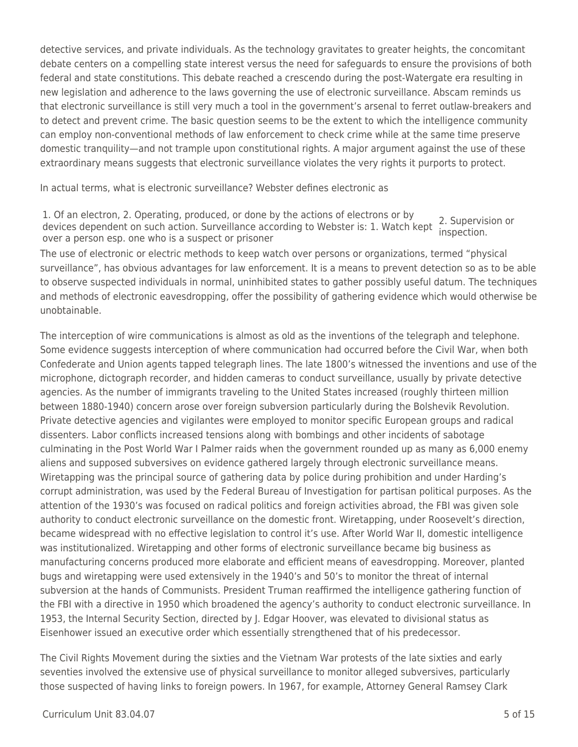detective services, and private individuals. As the technology gravitates to greater heights, the concomitant debate centers on a compelling state interest versus the need for safeguards to ensure the provisions of both federal and state constitutions. This debate reached a crescendo during the post-Watergate era resulting in new legislation and adherence to the laws governing the use of electronic surveillance. Abscam reminds us that electronic surveillance is still very much a tool in the government's arsenal to ferret outlaw-breakers and to detect and prevent crime. The basic question seems to be the extent to which the intelligence community can employ non-conventional methods of law enforcement to check crime while at the same time preserve domestic tranquility—and not trample upon constitutional rights. A major argument against the use of these extraordinary means suggests that electronic surveillance violates the very rights it purports to protect.

In actual terms, what is electronic surveillance? Webster defines electronic as

1. Of an electron, 2. Operating, produced, or done by the actions of electrons or by devices dependent on such action. Surveillance according to Webster is: 1. Watch kept over a person esp. one who is a suspect or prisoner 2. Supervision or inspection.

The use of electronic or electric methods to keep watch over persons or organizations, termed "physical surveillance", has obvious advantages for law enforcement. It is a means to prevent detection so as to be able to observe suspected individuals in normal, uninhibited states to gather possibly useful datum. The techniques and methods of electronic eavesdropping, offer the possibility of gathering evidence which would otherwise be unobtainable.

The interception of wire communications is almost as old as the inventions of the telegraph and telephone. Some evidence suggests interception of where communication had occurred before the Civil War, when both Confederate and Union agents tapped telegraph lines. The late 1800's witnessed the inventions and use of the microphone, dictograph recorder, and hidden cameras to conduct surveillance, usually by private detective agencies. As the number of immigrants traveling to the United States increased (roughly thirteen million between 1880-1940) concern arose over foreign subversion particularly during the Bolshevik Revolution. Private detective agencies and vigilantes were employed to monitor specific European groups and radical dissenters. Labor conflicts increased tensions along with bombings and other incidents of sabotage culminating in the Post World War I Palmer raids when the government rounded up as many as 6,000 enemy aliens and supposed subversives on evidence gathered largely through electronic surveillance means. Wiretapping was the principal source of gathering data by police during prohibition and under Harding's corrupt administration, was used by the Federal Bureau of Investigation for partisan political purposes. As the attention of the 1930's was focused on radical politics and foreign activities abroad, the FBI was given sole authority to conduct electronic surveillance on the domestic front. Wiretapping, under Roosevelt's direction, became widespread with no effective legislation to control it's use. After World War II, domestic intelligence was institutionalized. Wiretapping and other forms of electronic surveillance became big business as manufacturing concerns produced more elaborate and efficient means of eavesdropping. Moreover, planted bugs and wiretapping were used extensively in the 1940's and 50's to monitor the threat of internal subversion at the hands of Communists. President Truman reaffirmed the intelligence gathering function of the FBI with a directive in 1950 which broadened the agency's authority to conduct electronic surveillance. In 1953, the Internal Security Section, directed by J. Edgar Hoover, was elevated to divisional status as Eisenhower issued an executive order which essentially strengthened that of his predecessor.

The Civil Rights Movement during the sixties and the Vietnam War protests of the late sixties and early seventies involved the extensive use of physical surveillance to monitor alleged subversives, particularly those suspected of having links to foreign powers. In 1967, for example, Attorney General Ramsey Clark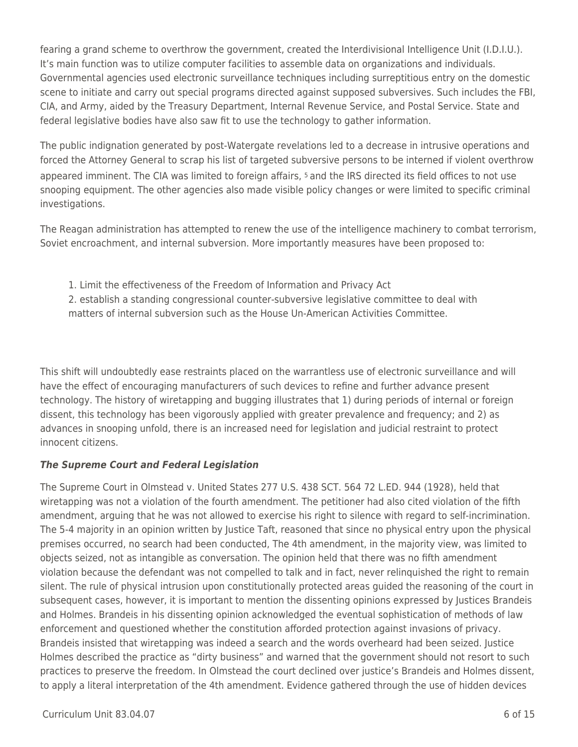fearing a grand scheme to overthrow the government, created the Interdivisional Intelligence Unit (I.D.I.U.). It's main function was to utilize computer facilities to assemble data on organizations and individuals. Governmental agencies used electronic surveillance techniques including surreptitious entry on the domestic scene to initiate and carry out special programs directed against supposed subversives. Such includes the FBI, CIA, and Army, aided by the Treasury Department, Internal Revenue Service, and Postal Service. State and federal legislative bodies have also saw fit to use the technology to gather information.

The public indignation generated by post-Watergate revelations led to a decrease in intrusive operations and forced the Attorney General to scrap his list of targeted subversive persons to be interned if violent overthrow appeared imminent. The CIA was limited to foreign affairs, 5 and the IRS directed its field offices to not use snooping equipment. The other agencies also made visible policy changes or were limited to specific criminal investigations.

The Reagan administration has attempted to renew the use of the intelligence machinery to combat terrorism, Soviet encroachment, and internal subversion. More importantly measures have been proposed to:

1. Limit the effectiveness of the Freedom of Information and Privacy Act 2. establish a standing congressional counter-subversive legislative committee to deal with matters of internal subversion such as the House Un-American Activities Committee.

This shift will undoubtedly ease restraints placed on the warrantless use of electronic surveillance and will have the effect of encouraging manufacturers of such devices to refine and further advance present technology. The history of wiretapping and bugging illustrates that 1) during periods of internal or foreign dissent, this technology has been vigorously applied with greater prevalence and frequency; and 2) as advances in snooping unfold, there is an increased need for legislation and judicial restraint to protect innocent citizens.

## *The Supreme Court and Federal Legislation*

The Supreme Court in Olmstead v. United States 277 U.S. 438 SCT. 564 72 L.ED. 944 (1928), held that wiretapping was not a violation of the fourth amendment. The petitioner had also cited violation of the fifth amendment, arguing that he was not allowed to exercise his right to silence with regard to self-incrimination. The 5-4 majority in an opinion written by Justice Taft, reasoned that since no physical entry upon the physical premises occurred, no search had been conducted, The 4th amendment, in the majority view, was limited to objects seized, not as intangible as conversation. The opinion held that there was no fifth amendment violation because the defendant was not compelled to talk and in fact, never relinquished the right to remain silent. The rule of physical intrusion upon constitutionally protected areas guided the reasoning of the court in subsequent cases, however, it is important to mention the dissenting opinions expressed by Justices Brandeis and Holmes. Brandeis in his dissenting opinion acknowledged the eventual sophistication of methods of law enforcement and questioned whether the constitution afforded protection against invasions of privacy. Brandeis insisted that wiretapping was indeed a search and the words overheard had been seized. Justice Holmes described the practice as "dirty business" and warned that the government should not resort to such practices to preserve the freedom. In Olmstead the court declined over justice's Brandeis and Holmes dissent, to apply a literal interpretation of the 4th amendment. Evidence gathered through the use of hidden devices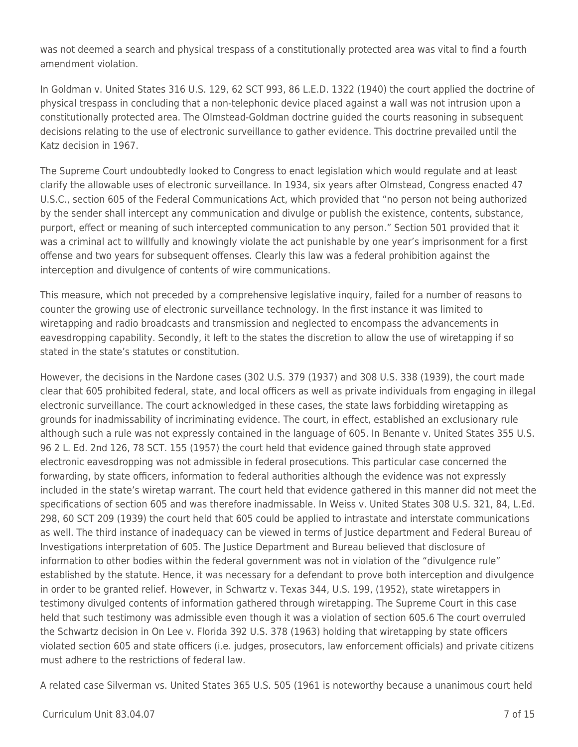was not deemed a search and physical trespass of a constitutionally protected area was vital to find a fourth amendment violation.

In Goldman v. United States 316 U.S. 129, 62 SCT 993, 86 L.E.D. 1322 (1940) the court applied the doctrine of physical trespass in concluding that a non-telephonic device placed against a wall was not intrusion upon a constitutionally protected area. The Olmstead-Goldman doctrine guided the courts reasoning in subsequent decisions relating to the use of electronic surveillance to gather evidence. This doctrine prevailed until the Katz decision in 1967.

The Supreme Court undoubtedly looked to Congress to enact legislation which would regulate and at least clarify the allowable uses of electronic surveillance. In 1934, six years after Olmstead, Congress enacted 47 U.S.C., section 605 of the Federal Communications Act, which provided that "no person not being authorized by the sender shall intercept any communication and divulge or publish the existence, contents, substance, purport, effect or meaning of such intercepted communication to any person." Section 501 provided that it was a criminal act to willfully and knowingly violate the act punishable by one year's imprisonment for a first offense and two years for subsequent offenses. Clearly this law was a federal prohibition against the interception and divulgence of contents of wire communications.

This measure, which not preceded by a comprehensive legislative inquiry, failed for a number of reasons to counter the growing use of electronic surveillance technology. In the first instance it was limited to wiretapping and radio broadcasts and transmission and neglected to encompass the advancements in eavesdropping capability. Secondly, it left to the states the discretion to allow the use of wiretapping if so stated in the state's statutes or constitution.

However, the decisions in the Nardone cases (302 U.S. 379 (1937) and 308 U.S. 338 (1939), the court made clear that 605 prohibited federal, state, and local officers as well as private individuals from engaging in illegal electronic surveillance. The court acknowledged in these cases, the state laws forbidding wiretapping as grounds for inadmissability of incriminating evidence. The court, in effect, established an exclusionary rule although such a rule was not expressly contained in the language of 605. In Benante v. United States 355 U.S. 96 2 L. Ed. 2nd 126, 78 SCT. 155 (1957) the court held that evidence gained through state approved electronic eavesdropping was not admissible in federal prosecutions. This particular case concerned the forwarding, by state officers, information to federal authorities although the evidence was not expressly included in the state's wiretap warrant. The court held that evidence gathered in this manner did not meet the specifications of section 605 and was therefore inadmissable. In Weiss v. United States 308 U.S. 321, 84, L.Ed. 298, 60 SCT 209 (1939) the court held that 605 could be applied to intrastate and interstate communications as well. The third instance of inadequacy can be viewed in terms of Justice department and Federal Bureau of Investigations interpretation of 605. The Justice Department and Bureau believed that disclosure of information to other bodies within the federal government was not in violation of the "divulgence rule" established by the statute. Hence, it was necessary for a defendant to prove both interception and divulgence in order to be granted relief. However, in Schwartz v. Texas 344, U.S. 199, (1952), state wiretappers in testimony divulged contents of information gathered through wiretapping. The Supreme Court in this case held that such testimony was admissible even though it was a violation of section 605.6 The court overruled the Schwartz decision in On Lee v. Florida 392 U.S. 378 (1963) holding that wiretapping by state officers violated section 605 and state officers (i.e. judges, prosecutors, law enforcement officials) and private citizens must adhere to the restrictions of federal law.

A related case Silverman vs. United States 365 U.S. 505 (1961 is noteworthy because a unanimous court held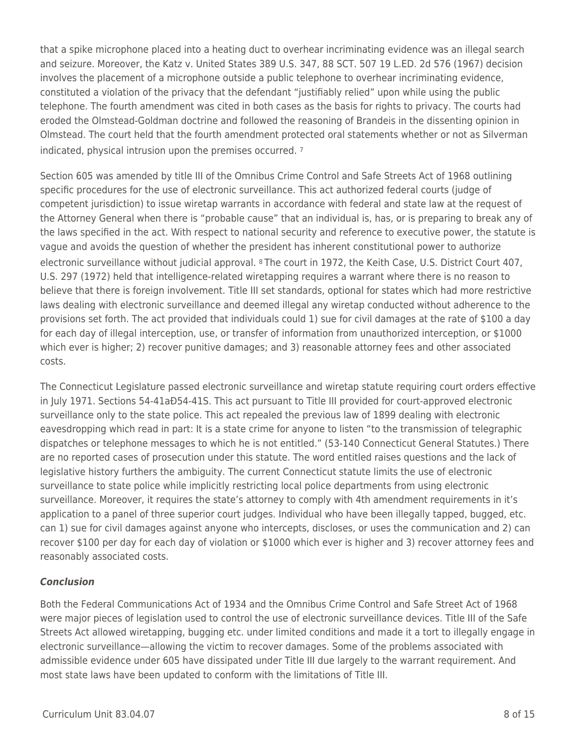that a spike microphone placed into a heating duct to overhear incriminating evidence was an illegal search and seizure. Moreover, the Katz v. United States 389 U.S. 347, 88 SCT. 507 19 L.ED. 2d 576 (1967) decision involves the placement of a microphone outside a public telephone to overhear incriminating evidence, constituted a violation of the privacy that the defendant "justifiably relied" upon while using the public telephone. The fourth amendment was cited in both cases as the basis for rights to privacy. The courts had eroded the Olmstead-Goldman doctrine and followed the reasoning of Brandeis in the dissenting opinion in Olmstead. The court held that the fourth amendment protected oral statements whether or not as Silverman indicated, physical intrusion upon the premises occurred. <sup>7</sup>

Section 605 was amended by title III of the Omnibus Crime Control and Safe Streets Act of 1968 outlining specific procedures for the use of electronic surveillance. This act authorized federal courts (judge of competent jurisdiction) to issue wiretap warrants in accordance with federal and state law at the request of the Attorney General when there is "probable cause" that an individual is, has, or is preparing to break any of the laws specified in the act. With respect to national security and reference to executive power, the statute is vague and avoids the question of whether the president has inherent constitutional power to authorize electronic surveillance without judicial approval. 8 The court in 1972, the Keith Case, U.S. District Court 407, U.S. 297 (1972) held that intelligence-related wiretapping requires a warrant where there is no reason to believe that there is foreign involvement. Title III set standards, optional for states which had more restrictive laws dealing with electronic surveillance and deemed illegal any wiretap conducted without adherence to the provisions set forth. The act provided that individuals could 1) sue for civil damages at the rate of \$100 a day for each day of illegal interception, use, or transfer of information from unauthorized interception, or \$1000 which ever is higher; 2) recover punitive damages; and 3) reasonable attorney fees and other associated costs.

The Connecticut Legislature passed electronic surveillance and wiretap statute requiring court orders effective in July 1971. Sections 54-41aÐ54-41S. This act pursuant to Title III provided for court-approved electronic surveillance only to the state police. This act repealed the previous law of 1899 dealing with electronic eavesdropping which read in part: It is a state crime for anyone to listen "to the transmission of telegraphic dispatches or telephone messages to which he is not entitled." (53-140 Connecticut General Statutes.) There are no reported cases of prosecution under this statute. The word entitled raises questions and the lack of legislative history furthers the ambiguity. The current Connecticut statute limits the use of electronic surveillance to state police while implicitly restricting local police departments from using electronic surveillance. Moreover, it requires the state's attorney to comply with 4th amendment requirements in it's application to a panel of three superior court judges. Individual who have been illegally tapped, bugged, etc. can 1) sue for civil damages against anyone who intercepts, discloses, or uses the communication and 2) can recover \$100 per day for each day of violation or \$1000 which ever is higher and 3) recover attorney fees and reasonably associated costs.

## *Conclusion*

Both the Federal Communications Act of 1934 and the Omnibus Crime Control and Safe Street Act of 1968 were major pieces of legislation used to control the use of electronic surveillance devices. Title III of the Safe Streets Act allowed wiretapping, bugging etc. under limited conditions and made it a tort to illegally engage in electronic surveillance—allowing the victim to recover damages. Some of the problems associated with admissible evidence under 605 have dissipated under Title III due largely to the warrant requirement. And most state laws have been updated to conform with the limitations of Title III.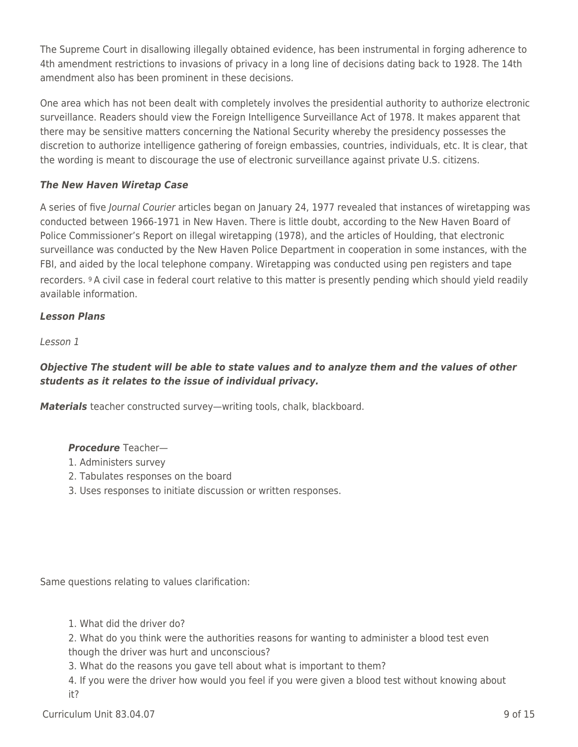The Supreme Court in disallowing illegally obtained evidence, has been instrumental in forging adherence to 4th amendment restrictions to invasions of privacy in a long line of decisions dating back to 1928. The 14th amendment also has been prominent in these decisions.

One area which has not been dealt with completely involves the presidential authority to authorize electronic surveillance. Readers should view the Foreign Intelligence Surveillance Act of 1978. It makes apparent that there may be sensitive matters concerning the National Security whereby the presidency possesses the discretion to authorize intelligence gathering of foreign embassies, countries, individuals, etc. It is clear, that the wording is meant to discourage the use of electronic surveillance against private U.S. citizens.

## *The New Haven Wiretap Case*

A series of five Journal Courier articles began on January 24, 1977 revealed that instances of wiretapping was conducted between 1966-1971 in New Haven. There is little doubt, according to the New Haven Board of Police Commissioner's Report on illegal wiretapping (1978), and the articles of Houlding, that electronic surveillance was conducted by the New Haven Police Department in cooperation in some instances, with the FBI, and aided by the local telephone company. Wiretapping was conducted using pen registers and tape recorders. 9 A civil case in federal court relative to this matter is presently pending which should yield readily available information.

## *Lesson Plans*

Lesson 1

## *Objective The student will be able to state values and to analyze them and the values of other students as it relates to the issue of individual privacy.*

*Materials* teacher constructed survey—writing tools, chalk, blackboard.

## *Procedure* Teacher—

- 1. Administers survey
- 2. Tabulates responses on the board
- 3. Uses responses to initiate discussion or written responses.

Same questions relating to values clarification:

1. What did the driver do?

2. What do you think were the authorities reasons for wanting to administer a blood test even though the driver was hurt and unconscious?

3. What do the reasons you gave tell about what is important to them?

4. If you were the driver how would you feel if you were given a blood test without knowing about it?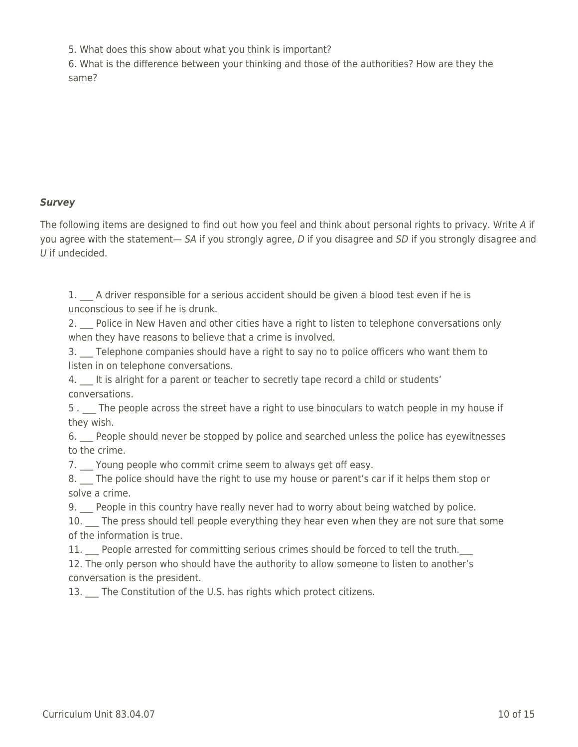5. What does this show about what you think is important?

6. What is the difference between your thinking and those of the authorities? How are they the same?

## *Survey*

The following items are designed to find out how you feel and think about personal rights to privacy. Write A if you agree with the statement— SA if you strongly agree, D if you disagree and SD if you strongly disagree and U if undecided.

1. A driver responsible for a serious accident should be given a blood test even if he is unconscious to see if he is drunk.

2. Police in New Haven and other cities have a right to listen to telephone conversations only when they have reasons to believe that a crime is involved.

3. Telephone companies should have a right to say no to police officers who want them to listen in on telephone conversations.

4. It is alright for a parent or teacher to secretly tape record a child or students' conversations.

5. The people across the street have a right to use binoculars to watch people in my house if they wish.

6. People should never be stopped by police and searched unless the police has eyewitnesses to the crime.

7.  $\Box$  Young people who commit crime seem to always get off easy.

8. The police should have the right to use my house or parent's car if it helps them stop or solve a crime.

9. People in this country have really never had to worry about being watched by police.

10. The press should tell people everything they hear even when they are not sure that some of the information is true.

11. People arrested for committing serious crimes should be forced to tell the truth.

12. The only person who should have the authority to allow someone to listen to another's conversation is the president.

13. The Constitution of the U.S. has rights which protect citizens.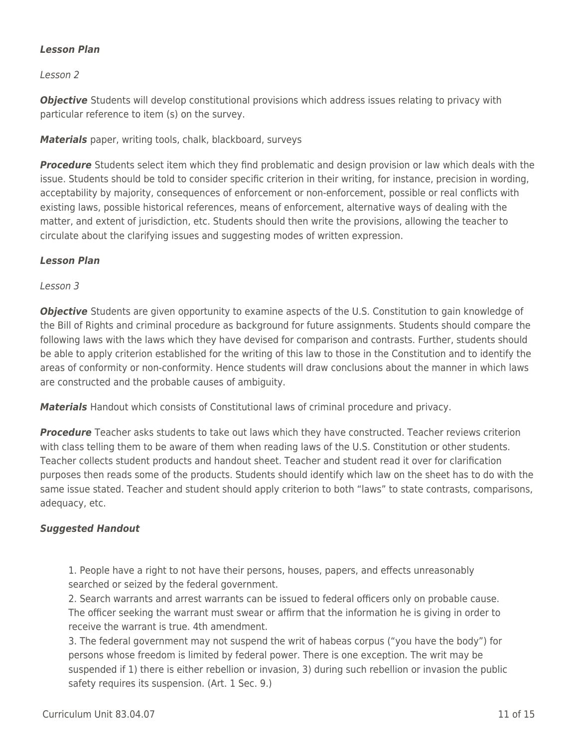## *Lesson Plan*

Lesson 2

**Objective** Students will develop constitutional provisions which address issues relating to privacy with particular reference to item (s) on the survey.

*Materials* paper, writing tools, chalk, blackboard, surveys

*Procedure* Students select item which they find problematic and design provision or law which deals with the issue. Students should be told to consider specific criterion in their writing, for instance, precision in wording, acceptability by majority, consequences of enforcement or non-enforcement, possible or real conflicts with existing laws, possible historical references, means of enforcement, alternative ways of dealing with the matter, and extent of jurisdiction, etc. Students should then write the provisions, allowing the teacher to circulate about the clarifying issues and suggesting modes of written expression.

#### *Lesson Plan*

Lesson 3

**Objective** Students are given opportunity to examine aspects of the U.S. Constitution to gain knowledge of the Bill of Rights and criminal procedure as background for future assignments. Students should compare the following laws with the laws which they have devised for comparison and contrasts. Further, students should be able to apply criterion established for the writing of this law to those in the Constitution and to identify the areas of conformity or non-conformity. Hence students will draw conclusions about the manner in which laws are constructed and the probable causes of ambiguity.

*Materials* Handout which consists of Constitutional laws of criminal procedure and privacy.

**Procedure** Teacher asks students to take out laws which they have constructed. Teacher reviews criterion with class telling them to be aware of them when reading laws of the U.S. Constitution or other students. Teacher collects student products and handout sheet. Teacher and student read it over for clarification purposes then reads some of the products. Students should identify which law on the sheet has to do with the same issue stated. Teacher and student should apply criterion to both "laws" to state contrasts, comparisons, adequacy, etc.

## *Suggested Handout*

1. People have a right to not have their persons, houses, papers, and effects unreasonably searched or seized by the federal government.

2. Search warrants and arrest warrants can be issued to federal officers only on probable cause. The officer seeking the warrant must swear or affirm that the information he is giving in order to receive the warrant is true. 4th amendment.

3. The federal government may not suspend the writ of habeas corpus ("you have the body") for persons whose freedom is limited by federal power. There is one exception. The writ may be suspended if 1) there is either rebellion or invasion, 3) during such rebellion or invasion the public safety requires its suspension. (Art. 1 Sec. 9.)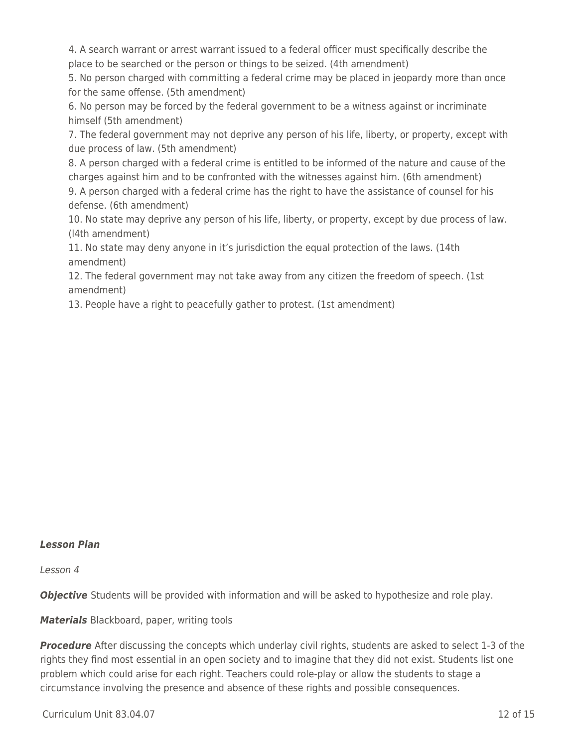4. A search warrant or arrest warrant issued to a federal officer must specifically describe the place to be searched or the person or things to be seized. (4th amendment)

5. No person charged with committing a federal crime may be placed in jeopardy more than once for the same offense. (5th amendment)

6. No person may be forced by the federal government to be a witness against or incriminate himself (5th amendment)

7. The federal government may not deprive any person of his life, liberty, or property, except with due process of law. (5th amendment)

8. A person charged with a federal crime is entitled to be informed of the nature and cause of the charges against him and to be confronted with the witnesses against him. (6th amendment)

9. A person charged with a federal crime has the right to have the assistance of counsel for his defense. (6th amendment)

10. No state may deprive any person of his life, liberty, or property, except by due process of law. (l4th amendment)

11. No state may deny anyone in it's jurisdiction the equal protection of the laws. (14th amendment)

12. The federal government may not take away from any citizen the freedom of speech. (1st amendment)

13. People have a right to peacefully gather to protest. (1st amendment)

## *Lesson Plan*

Lesson 4

*Objective* Students will be provided with information and will be asked to hypothesize and role play.

*Materials* Blackboard, paper, writing tools

**Procedure** After discussing the concepts which underlay civil rights, students are asked to select 1-3 of the rights they find most essential in an open society and to imagine that they did not exist. Students list one problem which could arise for each right. Teachers could role-play or allow the students to stage a circumstance involving the presence and absence of these rights and possible consequences.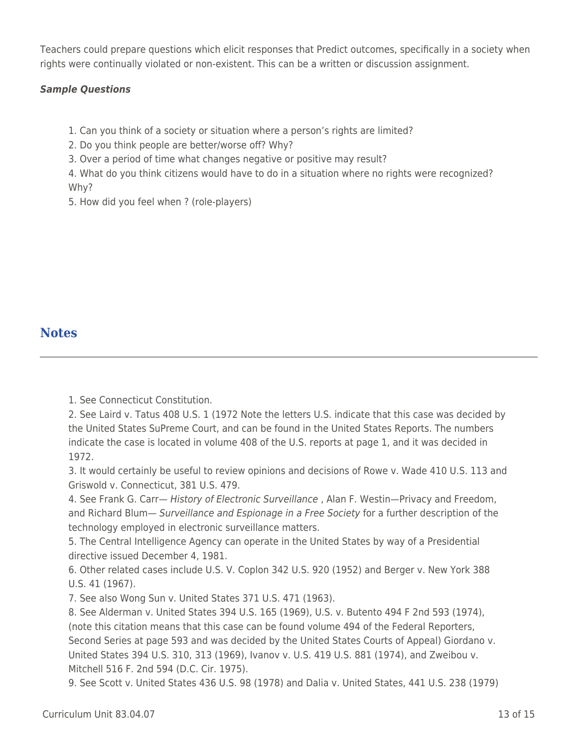Teachers could prepare questions which elicit responses that Predict outcomes, specifically in a society when rights were continually violated or non-existent. This can be a written or discussion assignment.

## *Sample Questions*

1. Can you think of a society or situation where a person's rights are limited?

2. Do you think people are better/worse off? Why?

3. Over a period of time what changes negative or positive may result?

4. What do you think citizens would have to do in a situation where no rights were recognized? Why?

5. How did you feel when ? (role-players)

## **Notes**

1. See Connecticut Constitution.

2. See Laird v. Tatus 408 U.S. 1 (1972 Note the letters U.S. indicate that this case was decided by the United States SuPreme Court, and can be found in the United States Reports. The numbers indicate the case is located in volume 408 of the U.S. reports at page 1, and it was decided in 1972.

3. It would certainly be useful to review opinions and decisions of Rowe v. Wade 410 U.S. 113 and Griswold v. Connecticut, 381 U.S. 479.

4. See Frank G. Carr— History of Electronic Surveillance, Alan F. Westin-Privacy and Freedom, and Richard Blum— Surveillance and Espionage in a Free Society for a further description of the technology employed in electronic surveillance matters.

5. The Central Intelligence Agency can operate in the United States by way of a Presidential directive issued December 4, 1981.

6. Other related cases include U.S. V. Coplon 342 U.S. 920 (1952) and Berger v. New York 388 U.S. 41 (1967).

7. See also Wong Sun v. United States 371 U.S. 471 (1963).

8. See Alderman v. United States 394 U.S. 165 (1969), U.S. v. Butento 494 F 2nd 593 (1974), (note this citation means that this case can be found volume 494 of the Federal Reporters, Second Series at page 593 and was decided by the United States Courts of Appeal) Giordano v. United States 394 U.S. 310, 313 (1969), Ivanov v. U.S. 419 U.S. 881 (1974), and Zweibou v. Mitchell 516 F. 2nd 594 (D.C. Cir. 1975).

9. See Scott v. United States 436 U.S. 98 (1978) and Dalia v. United States, 441 U.S. 238 (1979)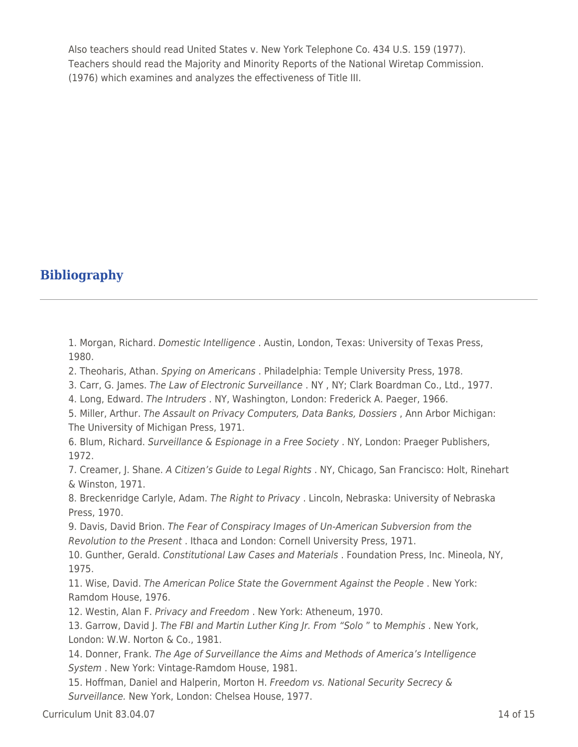Also teachers should read United States v. New York Telephone Co. 434 U.S. 159 (1977). Teachers should read the Majority and Minority Reports of the National Wiretap Commission. (1976) which examines and analyzes the effectiveness of Title III.

# **Bibliography**

1. Morgan, Richard. Domestic Intelligence . Austin, London, Texas: University of Texas Press, 1980.

2. Theoharis, Athan. Spying on Americans . Philadelphia: Temple University Press, 1978.

3. Carr, G. James. The Law of Electronic Surveillance . NY , NY; Clark Boardman Co., Ltd., 1977.

4. Long, Edward. The Intruders . NY, Washington, London: Frederick A. Paeger, 1966.

5. Miller, Arthur. The Assault on Privacy Computers, Data Banks, Dossiers , Ann Arbor Michigan: The University of Michigan Press, 1971.

6. Blum, Richard. Surveillance & Espionage in a Free Society . NY, London: Praeger Publishers, 1972.

7. Creamer, J. Shane. A Citizen's Guide to Legal Rights . NY, Chicago, San Francisco: Holt, Rinehart & Winston, 1971.

8. Breckenridge Carlyle, Adam. The Right to Privacy . Lincoln, Nebraska: University of Nebraska Press, 1970.

9. Davis, David Brion. The Fear of Conspiracy Images of Un-American Subversion from the Revolution to the Present . Ithaca and London: Cornell University Press, 1971.

10. Gunther, Gerald. Constitutional Law Cases and Materials . Foundation Press, Inc. Mineola, NY, 1975.

11. Wise, David. The American Police State the Government Against the People . New York: Ramdom House, 1976.

12. Westin, Alan F. Privacy and Freedom . New York: Atheneum, 1970.

13. Garrow, David J. The FBI and Martin Luther King Jr. From "Solo " to Memphis . New York, London: W.W. Norton & Co., 1981.

14. Donner, Frank. The Age of Surveillance the Aims and Methods of America's Intelligence System . New York: Vintage-Ramdom House, 1981.

15. Hoffman, Daniel and Halperin, Morton H. Freedom vs. National Security Secrecy & Surveillance. New York, London: Chelsea House, 1977.